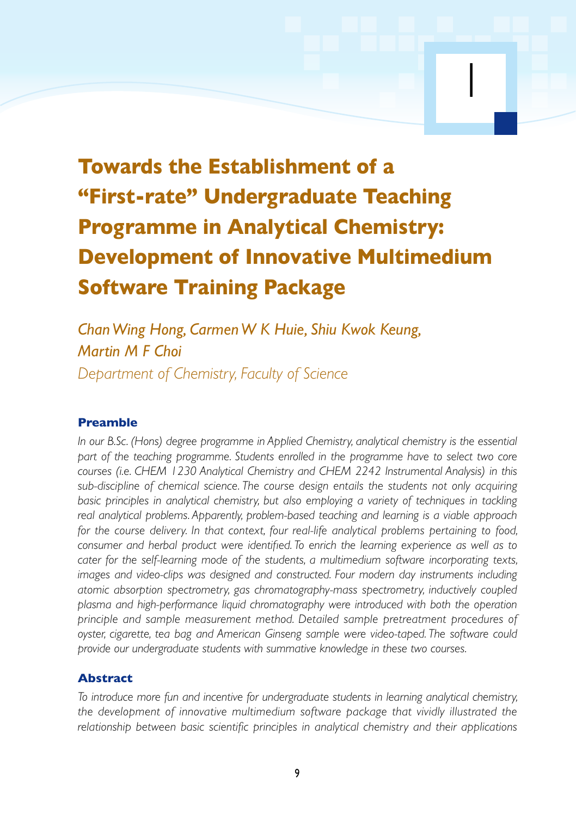# **Towards the Establishment of a "First-rate" Undergraduate Teaching Programme in Analytical Chemistry: Development of Innovative Multimedium Software Training Package**

1

*Chan Wing Hong, Carmen W K Huie, Shiu Kwok Keung, Martin M F Choi Department of Chemistry, Faculty of Science*

## **Preamble**

*In our B.Sc. (Hons) degree programme in Applied Chemistry, analytical chemistry is the essential part of the teaching programme. Students enrolled in the programme have to select two core courses (i.e. CHEM 1230 Analytical Chemistry and CHEM 2242 Instrumental Analysis) in this sub-discipline of chemical science. The course design entails the students not only acquiring basic principles in analytical chemistry, but also employing a variety of techniques in tackling real analytical problems. Apparently, problem-based teaching and learning is a viable approach for the course delivery. In that context, four real-life analytical problems pertaining to food, consumer and herbal product were identified. To enrich the learning experience as well as to cater for the self-learning mode of the students, a multimedium software incorporating texts, images and video-clips was designed and constructed. Four modern day instruments including atomic absorption spectrometry, gas chromatography-mass spectrometry, inductively coupled plasma and high-performance liquid chromatography were introduced with both the operation principle and sample measurement method. Detailed sample pretreatment procedures of oyster, cigarette, tea bag and American Ginseng sample were video-taped. The software could provide our undergraduate students with summative knowledge in these two courses.*

#### **Abstract**

*To introduce more fun and incentive for undergraduate students in learning analytical chemistry, the development of innovative multimedium software package that vividly illustrated the relationship between basic scientific principles in analytical chemistry and their applications*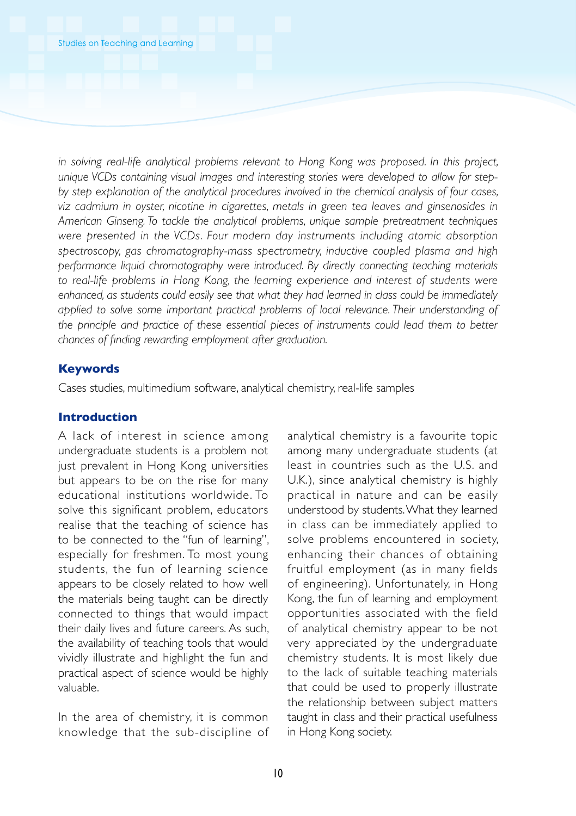*in solving real-life analytical problems relevant to Hong Kong was proposed. In this project, unique VCDs containing visual images and interesting stories were developed to allow for stepby step explanation of the analytical procedures involved in the chemical analysis of four cases, viz cadmium in oyster, nicotine in cigarettes, metals in green tea leaves and ginsenosides in American Ginseng. To tackle the analytical problems, unique sample pretreatment techniques were presented in the VCDs. Four modern day instruments including atomic absorption spectroscopy, gas chromatography-mass spectrometr y, inductive coupled plasma and high performance liquid chromatography were introduced. By directly connecting teaching materials to real-life problems in Hong Kong, the learning experience and interest of students were enhanced, as students could easily see that what they had learned in class could be immediately applied to solve some important practical problems of local relevance. Their understanding of the principle and practice of these essential pieces of instruments could lead them to better chances of finding rewarding employment after graduation.*

# **Keywords**

Cases studies, multimedium software, analytical chemistry, real-life samples

# **Introduction**

A lack of interest in science among undergraduate students is a problem not just prevalent in Hong Kong universities but appears to be on the rise for many educational institutions worldwide. To solve this significant problem, educators realise that the teaching of science has to be connected to the "fun of learning", especially for freshmen. To most young students, the fun of learning science appears to be closely related to how well the materials being taught can be directly connected to things that would impact their daily lives and future careers. As such, the availability of teaching tools that would vividly illustrate and highlight the fun and practical aspect of science would be highly valuable.

In the area of chemistry, it is common knowledge that the sub-discipline of

analytical chemistry is a favourite topic among many undergraduate students (at least in countries such as the U.S. and U.K.), since analytical chemistry is highly practical in nature and can be easily understood by students. What they learned in class can be immediately applied to solve problems encountered in society, enhancing their chances of obtaining fruitful employment (as in many fields of engineering). Unfortunately, in Hong Kong, the fun of learning and employment opportunities associated with the field of analytical chemistry appear to be not very appreciated by the undergraduate chemistry students. It is most likely due to the lack of suitable teaching materials that could be used to properly illustrate the relationship between subject matters taught in class and their practical usefulness in Hong Kong society.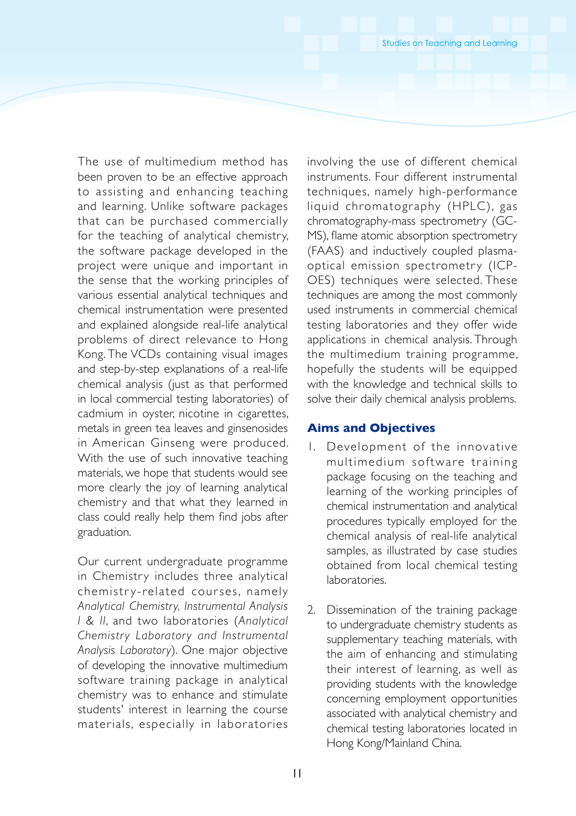The use of multimedium method has been proven to be an effective approach to assisting and enhancing teaching and learning. Unlike software packages that can be purchased commercially for the teaching of analytical chemistry, the software package developed in the project were unique and important in the sense that the working principles of various essential analytical techniques and chemical instrumentation were presented and explained alongside real-life analytical problems of direct relevance to Hong Kong. The VCDs containing visual images and step-by-step explanations of a real-life chemical analysis (just as that performed in local commercial testing laboratories) of cadmium in oyster, nicotine in cigarettes, metals in green tea leaves and ginsenosides in American Ginseng were produced. With the use of such innovative teaching materials, we hope that students would see more clearly the joy of learning analytical chemistry and that what they learned in class could really help them find jobs after graduation.

Our current undergraduate programme in Chemistry includes three analytical chemistry-related courses, namely *Analytical Chemistr y, Instrumental Analysis I & II*, and two laboratories (*Analytical Chemistry Laboratory and Instrumental Analysis Laboratory*). One major objective of developing the innovative multimedium software training package in analytical chemistry was to enhance and stimulate students' interest in learning the course materials, especially in laboratories

involving the use of different chemical instruments. Four different instrumental techniques, namely high-performance liquid chromatography (HPLC), gas chromatography-mass spectrometry (GC-MS), flame atomic absorption spectrometry (FAAS) and inductively coupled plasmaoptical emission spectrometry (ICP-OES) techniques were selected. These techniques are among the most commonly used instruments in commercial chemical testing laboratories and they offer wide applications in chemical analysis. Through the multimedium training programme, hopefully the students will be equipped with the knowledge and technical skills to solve their daily chemical analysis problems.

## **Aims and Objectives**

- 1. Development of the innovative multimedium software training package focusing on the teaching and learning of the working principles of chemical instrumentation and analytical procedures typically employed for the chemical analysis of real-life analytical samples, as illustrated by case studies obtained from local chemical testing laboratories.
- 2. Dissemination of the training package to undergraduate chemistry students as supplementary teaching materials, with the aim of enhancing and stimulating their interest of learning, as well as providing students with the knowledge concerning employment opportunities associated with analytical chemistry and chemical testing laboratories located in Hong Kong/Mainland China.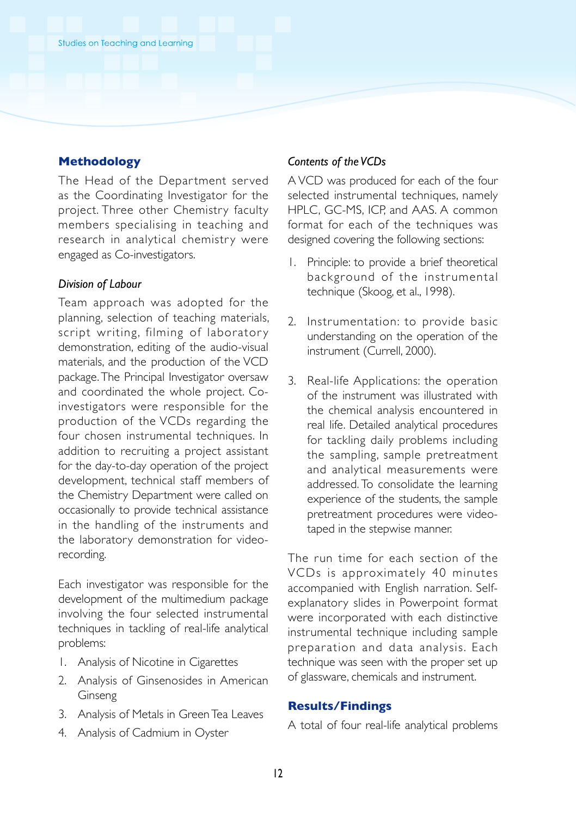## **Methodology**

The Head of the Department served as the Coordinating Investigator for the project. Three other Chemistry faculty members specialising in teaching and research in analytical chemistry were engaged as Co-investigators.

#### *Division of Labour*

Team approach was adopted for the planning, selection of teaching materials, script writing, filming of laboratory demonstration, editing of the audio-visual materials, and the production of the VCD package. The Principal Investigator oversaw and coordinated the whole project. Coinvestigators were responsible for the production of the VCDs regarding the four chosen instrumental techniques. In addition to recruiting a project assistant for the day-to-day operation of the project development, technical staff members of the Chemistry Department were called on occasionally to provide technical assistance in the handling of the instruments and the laboratory demonstration for videorecording.

Each investigator was responsible for the development of the multimedium package involving the four selected instrumental techniques in tackling of real-life analytical problems:

- 1. Analysis of Nicotine in Cigarettes
- 2. Analysis of Ginsenosides in American Ginseng
- 3. Analysis of Metals in Green Tea Leaves
- 4. Analysis of Cadmium in Oyster

#### *Contents of the VCDs*

A VCD was produced for each of the four selected instrumental techniques, namely HPLC, GC-MS, ICP, and AAS. A common format for each of the techniques was designed covering the following sections:

- 1. Principle: to provide a brief theoretical background of the instrumental technique (Skoog, et al., 1998).
- 2. Instrumentation: to provide basic understanding on the operation of the instrument (Currell, 2000).
- 3. Real-life Applications: the operation of the instrument was illustrated with the chemical analysis encountered in real life. Detailed analytical procedures for tackling daily problems including the sampling, sample pretreatment and analytical measurements were addressed. To consolidate the learning experience of the students, the sample pretreatment procedures were videotaped in the stepwise manner.

The run time for each section of the VCDs is approximately 40 minutes accompanied with English narration. Selfexplanatory slides in Powerpoint format were incorporated with each distinctive instrumental technique including sample preparation and data analysis. Each technique was seen with the proper set up of glassware, chemicals and instrument.

# **Results/Findings**

A total of four real-life analytical problems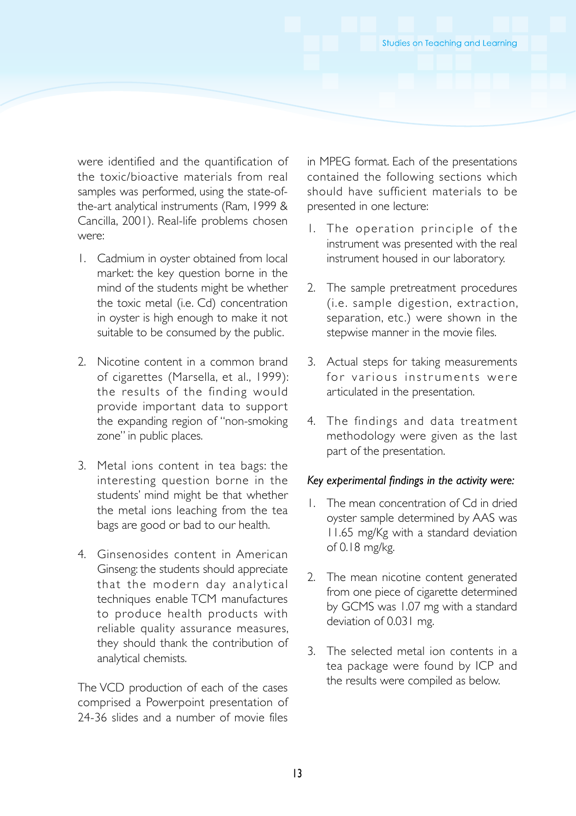were identified and the quantification of the toxic/bioactive materials from real samples was performed, using the state-ofthe-art analytical instruments (Ram, 1999 & Cancilla, 2001). Real-life problems chosen were:

- 1. Cadmium in oyster obtained from local market: the key question borne in the mind of the students might be whether the toxic metal (i.e. Cd) concentration in oyster is high enough to make it not suitable to be consumed by the public.
- 2. Nicotine content in a common brand of cigarettes (Marsella, et al., 1999): the results of the finding would provide important data to support the expanding region of "non-smoking zone" in public places.
- 3. Metal ions content in tea bags: the interesting question borne in the students' mind might be that whether the metal ions leaching from the tea bags are good or bad to our health.
- 4. Ginsenosides content in American Ginseng: the students should appreciate that the modern day analytical techniques enable TCM manufactures to produce health products with reliable quality assurance measures, they should thank the contribution of analytical chemists.

The VCD production of each of the cases comprised a Powerpoint presentation of 24-36 slides and a number of movie files

in MPEG format. Each of the presentations contained the following sections which should have sufficient materials to be presented in one lecture:

- 1. The operation principle of the instrument was presented with the real instrument housed in our laboratory.
- 2. The sample pretreatment procedures (i.e. sample digestion, extraction, separation, etc.) were shown in the stepwise manner in the movie files.
- 3. Actual steps for taking measurements for various instruments were articulated in the presentation.
- 4. The findings and data treatment methodology were given as the last part of the presentation.

#### *Key experimental findings in the activity were:*

- 1. The mean concentration of Cd in dried oyster sample determined by AAS was 11.65 mg/Kg with a standard deviation of 0.18 mg/kg.
- 2. The mean nicotine content generated from one piece of cigarette determined by GCMS was 1.07 mg with a standard deviation of 0.031 mg.
- 3. The selected metal ion contents in a tea package were found by ICP and the results were compiled as below.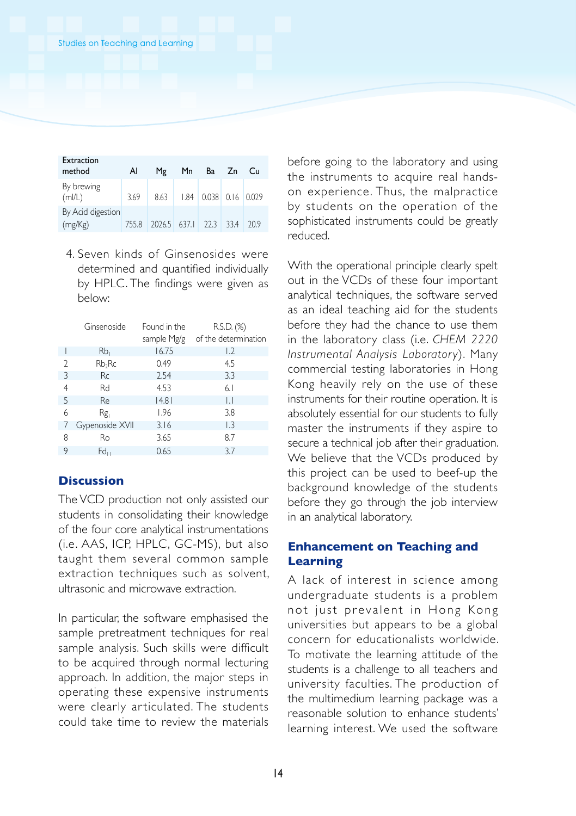| Extraction<br>method         | Al    | Mg                     | Mn |                               | Ba Zn | Сu  |
|------------------------------|-------|------------------------|----|-------------------------------|-------|-----|
| By brewing<br>(mI/L)         | 3.69  | 8.63                   |    | $1.84$   0.038   0.16   0.029 |       |     |
| By Acid digestion<br>(mg/Kg) | 755.8 | 2026.5 637.1 22.3 33.4 |    |                               |       | 209 |

4. Seven kinds of Ginsenosides were determined and quantified individually by HPLC. The findings were given as below:

|                | Ginsenoside        | Found in the | R.S.D. (%)           |
|----------------|--------------------|--------------|----------------------|
|                |                    | sample Mg/g  | of the determination |
|                | Rb                 | 16.75        | 1.2                  |
| $\mathfrak{D}$ | Rb <sub>2</sub> Rc | 0.49         | 4.5                  |
| 3              | <b>Rc</b>          | 2.54         | 3.3                  |
| 4              | Rd                 | 4.53         | 6.1                  |
| 5              | Re                 | 14.81        | IJ                   |
| 6              | Rg,                | 1.96         | 3.8                  |
|                | Gypenoside XVII    | 3.16         | L <sub>3</sub>       |
| 8              | Ro                 | 3.65         | 8.7                  |
| 9              | Fd                 | 0.65         | 3.7                  |

# **Discussion**

The VCD production not only assisted our students in consolidating their knowledge of the four core analytical instrumentations (i.e. AAS, ICP, HPLC, GC-MS), but also taught them several common sample extraction techniques such as solvent, ultrasonic and microwave extraction.

In particular, the software emphasised the sample pretreatment techniques for real sample analysis. Such skills were difficult to be acquired through normal lecturing approach. In addition, the major steps in operating these expensive instruments were clearly articulated. The students could take time to review the materials

before going to the laboratory and using the instruments to acquire real handson experience. Thus, the malpractice by students on the operation of the sophisticated instruments could be greatly reduced.

With the operational principle clearly spelt out in the VCDs of these four important analytical techniques, the software served as an ideal teaching aid for the students before they had the chance to use them in the laboratory class (i.e. *CHEM 2220 Instrumental Analysis Laborator y*). Many commercial testing laboratories in Hong Kong heavily rely on the use of these instruments for their routine operation. It is absolutely essential for our students to fully master the instruments if they aspire to secure a technical job after their graduation. We believe that the VCDs produced by this project can be used to beef-up the background knowledge of the students before they go through the job interview in an analytical laboratory.

# **Enhancement on Teaching and Learning**

A lack of interest in science among undergraduate students is a problem not just prevalent in Hong Kong universities but appears to be a global concern for educationalists worldwide. To motivate the learning attitude of the students is a challenge to all teachers and university faculties. The production of the multimedium learning package was a reasonable solution to enhance students' learning interest. We used the software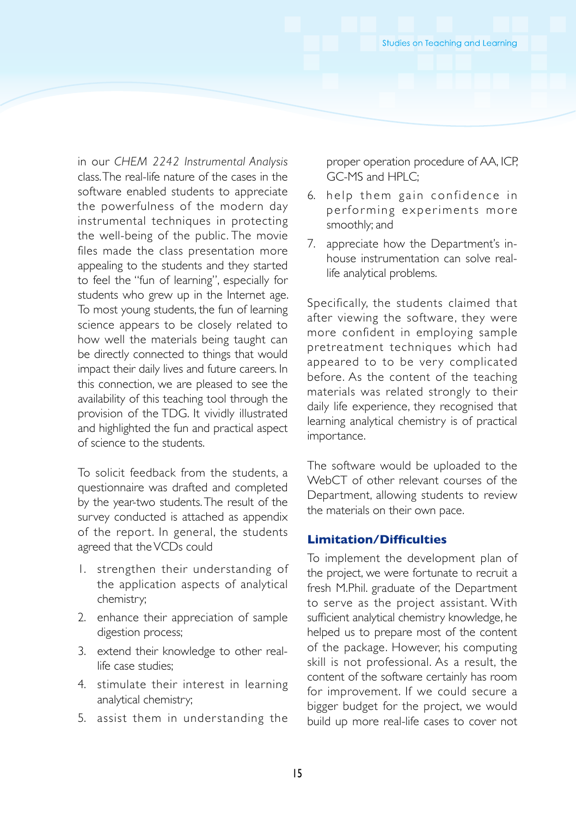in our *CHEM 2242 Instrumental Analysis* class. The real-life nature of the cases in the software enabled students to appreciate the powerfulness of the modern day instrumental techniques in protecting the well-being of the public. The movie files made the class presentation more appealing to the students and they started to feel the "fun of learning", especially for students who grew up in the Internet age. To most young students, the fun of learning science appears to be closely related to how well the materials being taught can be directly connected to things that would impact their daily lives and future careers. In this connection, we are pleased to see the availability of this teaching tool through the provision of the TDG. It vividly illustrated and highlighted the fun and practical aspect of science to the students.

To solicit feedback from the students, a questionnaire was drafted and completed by the year-two students. The result of the survey conducted is attached as appendix of the report. In general, the students agreed that the VCDs could

- 1. strengthen their understanding of the application aspects of analytical chemistry;
- 2. enhance their appreciation of sample digestion process;
- 3. extend their knowledge to other reallife case studies;
- 4. stimulate their interest in learning analytical chemistry;
- 5. assist them in understanding the

proper operation procedure of AA, ICP, GC-MS and HPLC;

- 6. help them gain confidence in performing experiments more smoothly; and
- 7. appreciate how the Department's inhouse instrumentation can solve reallife analytical problems.

Specifically, the students claimed that after viewing the software, they were more confident in employing sample pretreatment techniques which had appeared to to be very complicated before. As the content of the teaching materials was related strongly to their daily life experience, they recognised that learning analytical chemistry is of practical importance.

The software would be uploaded to the WebCT of other relevant courses of the Department, allowing students to review the materials on their own pace.

# **Limitation/Difficulties**

To implement the development plan of the project, we were fortunate to recruit a fresh M.Phil. graduate of the Department to serve as the project assistant. With sufficient analytical chemistry knowledge, he helped us to prepare most of the content of the package. However, his computing skill is not professional. As a result, the content of the software certainly has room for improvement. If we could secure a bigger budget for the project, we would build up more real-life cases to cover not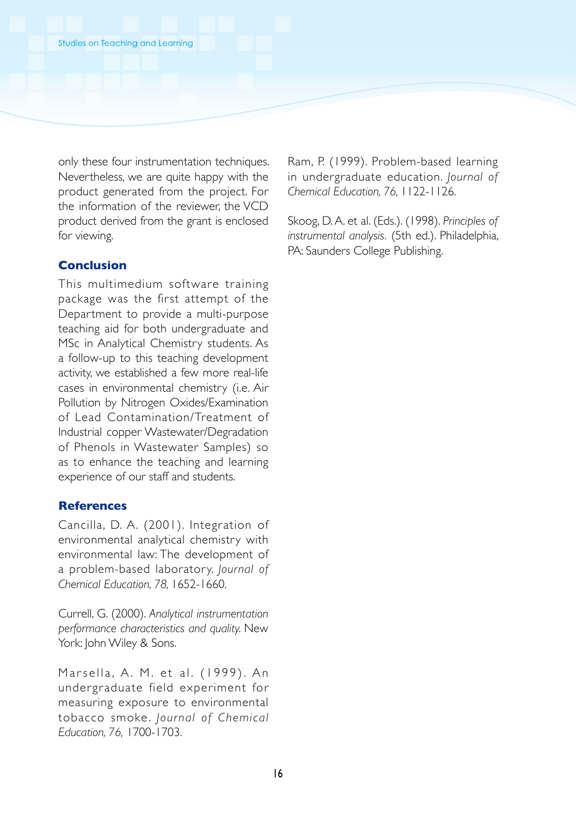only these four instrumentation techniques. Nevertheless, we are quite happy with the product generated from the project. For the information of the reviewer, the VCD product derived from the grant is enclosed for viewing.

# **Conclusion**

This multimedium software training package was the first attempt of the Department to provide a multi-purpose teaching aid for both undergraduate and MSc in Analytical Chemistry students. As a follow-up to this teaching development activity, we established a few more real-life cases in environmental chemistry (i.e. Air Pollution by Nitrogen Oxides/Examination of Lead Contamination/Treatment of Industrial copper Wastewater/Degradation of Phenols in Wastewater Samples) so as to enhance the teaching and learning experience of our staff and students.

#### **References**

Cancilla, D. A. (2001). Integration of environmental analytical chemistry with environmental law: The development of a problem-based laboratory. *Journal of Chemical Education, 78,* 1652-1660.

Currell, G. (2000). *Analytical instrumentation performance characteristics and quality.* New York: John Wiley & Sons.

Marsella, A. M. et al. (1999). An undergraduate field experiment for measuring exposure to environmental tobacco smoke. *Jour na l of Chem ica l Education, 76,* 1700-1703.

Ram, P. (1999). Problem-based learning in undergraduate education. *Journal of Chemical Education, 76,* 1122-1126.

Skoog, D. A. et al. (Eds.). (1998). *Principles of instrumental analysis.* (5th ed.). Philadelphia, PA: Saunders College Publishing.